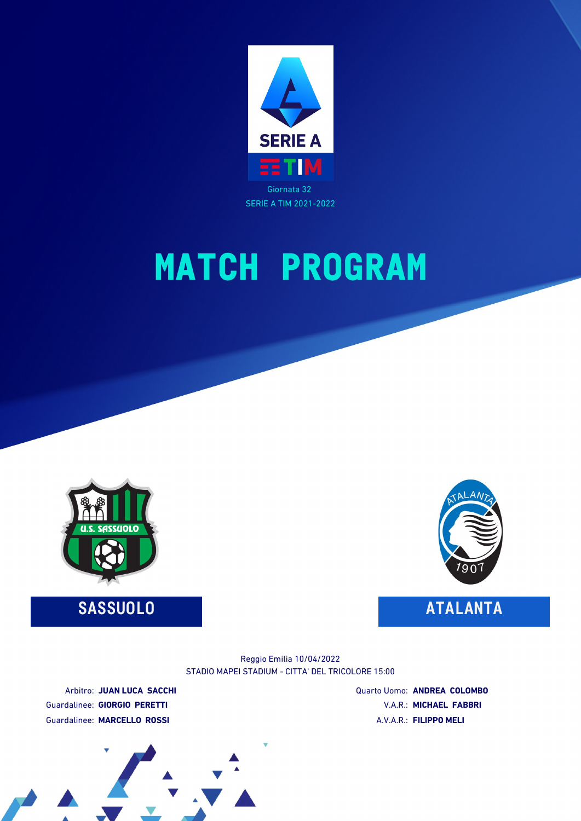

# **MATCH PROGRAM**



**SASSUOLO ATALANTA**



STADIO MAPEI STADIUM - CITTA' DEL TRICOLORE 15:00 Reggio Emilia 10/04/2022

Arbitro: **JUAN LUCA SACCHI** Guardalinee: **GIORGIO PERETTI** Guardalinee: **MARCELLO ROSSI**

Quarto Uomo: **ANDREA COLOMBO** V.A.R.: **MICHAEL FABBRI** A.V.A.R.: **FILIPPO MELI**

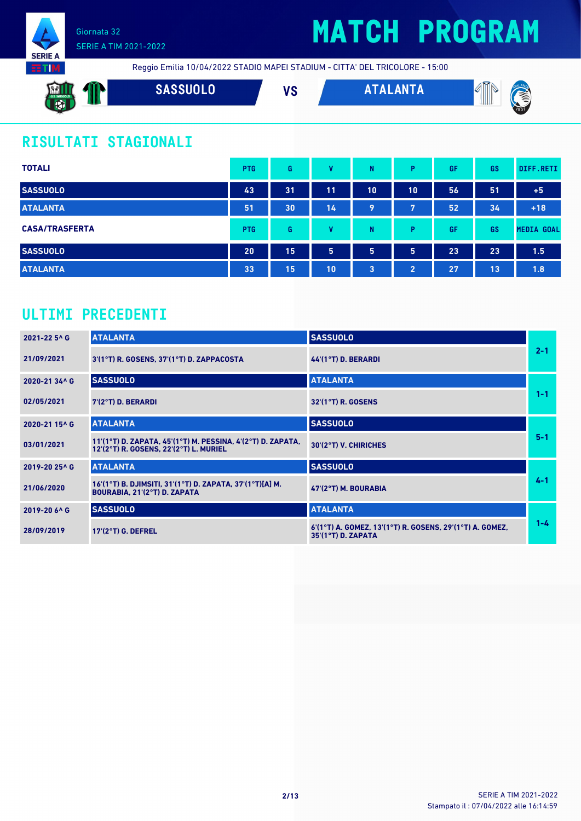



Reggio Emilia 10/04/2022 STADIO MAPEI STADIUM - CITTA' DEL TRICOLORE - 15:00

| <b>MI</b><br>U.S. SASSUOLO<br>R<br>-34.4% | SASSUOLO <sup>'</sup> | $\mathbf{u}$<br>v J | <b>ANTA</b> | ৫লে<br>M<br>ĨШ<br>€<br>u |
|-------------------------------------------|-----------------------|---------------------|-------------|--------------------------|
| - 2                                       |                       |                     |             | 1901                     |

### **RISULTATI STAGIONALI**

| <b>TOTALI</b>         | <b>PTG</b> | G  | v  | N  | P              | GF | GS | DIFF.RETI         |
|-----------------------|------------|----|----|----|----------------|----|----|-------------------|
| <b>SASSUOLO</b>       | 43         | 31 | 11 | 10 | 10             | 56 | 51 | $+5$              |
| <b>ATALANTA</b>       | 51         | 30 | 14 | 9  | 7              | 52 | 34 | $+18$             |
| <b>CASA/TRASFERTA</b> | <b>PTG</b> | G  | v  | N  | P              | GF | GS | <b>MEDIA GOAL</b> |
| <b>SASSUOLO</b>       | 20         | 15 | 5  | 5  | 5              | 23 | 23 | 1.5               |
| <b>ATALANTA</b>       | 33         | 15 | 10 | 3  | $\overline{2}$ | 27 | 13 | 1.8               |

### **ULTIMI PRECEDENTI**

| 2021-22 5^ G  | <b>ATALANTA</b>                                                                                       | <b>SASSUOLO</b>                                                                  |         |
|---------------|-------------------------------------------------------------------------------------------------------|----------------------------------------------------------------------------------|---------|
| 21/09/2021    | 3'(1°T) R. GOSENS, 37'(1°T) D. ZAPPACOSTA                                                             | 44'(1°T) D. BERARDI                                                              | $2 - 1$ |
| 2020-21 34^ G | <b>SASSUOLO</b>                                                                                       | <b>ATALANTA</b>                                                                  |         |
| 02/05/2021    | $7(2°T)$ D. BERARDI                                                                                   | $32'(1°T)$ R. GOSENS                                                             | $1 - 1$ |
| 2020-21 15^ G | <b>ATALANTA</b>                                                                                       | <b>SASSUOLO</b>                                                                  |         |
| 03/01/2021    | 11'(1°T) D. ZAPATA, 45'(1°T) M. PESSINA, 4'(2°T) D. ZAPATA,<br>12'(2°T) R. GOSENS, 22'(2°T) L. MURIEL | 30'(2°T) V. CHIRICHES                                                            | $5 - 1$ |
| 2019-20 25^ G | <b>ATALANTA</b>                                                                                       | <b>SASSUOLO</b>                                                                  |         |
| 21/06/2020    | 16'(1°T) B. DJIMSITI, 31'(1°T) D. ZAPATA, 37'(1°T)[A] M.<br>BOURABIA, 21'(2°T) D. ZAPATA              | $47(2°T)$ M. BOURABIA                                                            | $4 - 1$ |
| 2019-20 6^ G  | <b>SASSUOLO</b>                                                                                       | <b>ATALANTA</b>                                                                  |         |
| 28/09/2019    | $17(2°T)$ G. DEFREL                                                                                   | 6'(1°T) A. GOMEZ, 13'(1°T) R. GOSENS, 29'(1°T) A. GOMEZ,<br>$35'(1°T)$ D. ZAPATA | $1 - 4$ |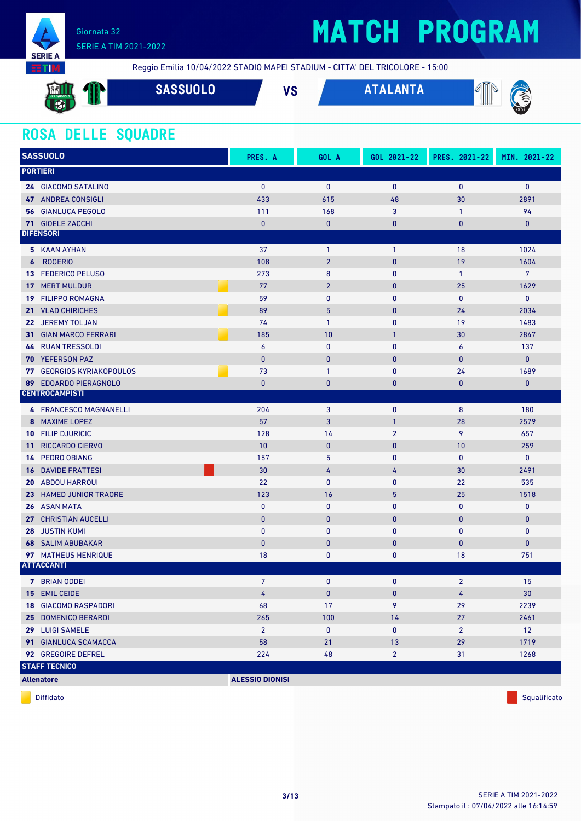

## **MATCH PROGRAM**

Reggio Emilia 10/04/2022 STADIO MAPEI STADIUM - CITTA' DEL TRICOLORE - 15:00

| <b>All Service</b><br>$\mathbf{M}$ ll<br>U.S. SASSUOLO<br><b>SALE</b><br>8. R | <b>SASSUOLO</b> | VC<br>, u | TALANTA | 12.<br><b>AND</b><br>M<br>R,<br>Ш<br><b>XL</b> |
|-------------------------------------------------------------------------------|-----------------|-----------|---------|------------------------------------------------|
| $\mathbf{C}$                                                                  |                 |           |         | 1901                                           |

### **ROSA DELLE SQUADRE**

| <b>SASSUOLO</b>                           | PRES. A                | GOL A          | GOL 2021-22    | PRES. 2021-22  | MIN. 2021-22   |
|-------------------------------------------|------------------------|----------------|----------------|----------------|----------------|
| <b>PORTIERI</b>                           |                        |                |                |                |                |
| 24 GIACOMO SATALINO                       | $\mathbf{0}$           | $\mathbf{0}$   | $\mathbf{0}$   | $\mathbf{0}$   | $\mathbf 0$    |
| <b>47 ANDREA CONSIGLI</b>                 | 433                    | 615            | 48             | 30             | 2891           |
| <b>56 GIANLUCA PEGOLO</b>                 | 111                    | 168            | 3              | $\mathbf{1}$   | 94             |
| <b>71 GIOELE ZACCHI</b>                   | $\pmb{0}$              | $\pmb{0}$      | 0              | $\bf{0}$       | $\bf{0}$       |
| <b>DIFENSORI</b>                          |                        |                |                |                |                |
| 5 KAAN AYHAN                              | 37                     | $\mathbf{1}$   | $\mathbf{1}$   | 18             | 1024           |
| <b>ROGERIO</b><br>$\boldsymbol{6}$        | 108                    | $\overline{2}$ | $\mathbf{0}$   | 19             | 1604           |
| <b>FEDERICO PELUSO</b><br>13              | 273                    | 8              | $\mathbf 0$    | $\mathbf{1}$   | $\overline{7}$ |
| <b>MERT MULDUR</b><br>17 <sup>1</sup>     | 77                     | $\overline{2}$ | $\pmb{0}$      | 25             | 1629           |
| <b>FILIPPO ROMAGNA</b><br>19              | 59                     | 0              | $\mathbf{0}$   | $\bf{0}$       | $\mathbf 0$    |
| <b>VLAD CHIRICHES</b><br>21               | 89                     | 5              | $\mathbf{0}$   | 24             | 2034           |
| 22 JEREMY TOLJAN                          | 74                     | $\mathbf{1}$   | $\mathbf{0}$   | 19             | 1483           |
| <b>31 GIAN MARCO FERRARI</b>              | 185                    | 10             | $\mathbf{1}$   | 30             | 2847           |
| <b>RUAN TRESSOLDI</b><br>44               | $\boldsymbol{6}$       | $\pmb{0}$      | $\bf{0}$       | 6              | 137            |
| <b>YEFERSON PAZ</b><br>70                 | $\mathbf{0}$           | $\pmb{0}$      | $\mathbf{0}$   | $\bf{0}$       | $\pmb{0}$      |
| <b>77 GEORGIOS KYRIAKOPOULOS</b>          | 73                     | $\mathbf{1}$   | 0              | 24             | 1689           |
| <b>EDOARDO PIERAGNOLO</b><br>89           | $\mathbf{0}$           | $\mathbf{0}$   | $\mathbf{0}$   | $\mathbf{0}$   | $\mathbf{0}$   |
| <b>CENTROCAMPISTI</b>                     |                        |                |                |                |                |
| 4 FRANCESCO MAGNANELLI                    | 204                    | 3              | $\mathbf{0}$   | 8              | 180            |
| <b>MAXIME LOPEZ</b><br>8                  | 57                     | 3              | $\mathbf{1}$   | 28             | 2579           |
| <b>10 FILIP DJURICIC</b>                  | 128                    | 14             | $\overline{2}$ | 9              | 657            |
| <b>RICCARDO CIERVO</b><br>11 <sup>1</sup> | 10                     | $\mathbf{0}$   | $\mathbf{0}$   | 10             | 259            |
| <b>PEDRO OBIANG</b><br>14                 | 157                    | 5              | $\mathbf{0}$   | $\mathbf{0}$   | $\mathbf 0$    |
| <b>DAVIDE FRATTESI</b><br>16              | 30                     | 4              | 4              | 30             | 2491           |
| <b>20 ABDOU HARROUI</b>                   | 22                     | 0              | 0              | 22             | 535            |
| 23 HAMED JUNIOR TRAORE                    | 123                    | 16             | 5              | 25             | 1518           |
| <b>26 ASAN MATA</b>                       | $\bf{0}$               | 0              | 0              | $\bf{0}$       | 0              |
| 27 CHRISTIAN AUCELLI                      | $\pmb{0}$              | $\mathbf 0$    | $\mathbf{0}$   | $\mathbf{0}$   | $\bf{0}$       |
| <b>JUSTIN KUMI</b><br>28                  | $\bf{0}$               | 0              | $\mathbf{0}$   | $\mathbf 0$    | $\mathbf 0$    |
| <b>68 SALIM ABUBAKAR</b>                  | $\mathbf{0}$           | $\pmb{0}$      | $\mathbf{0}$   | $\mathbf{0}$   | 0              |
| 97 MATHEUS HENRIQUE                       | 18                     | 0              | 0              | 18             | 751            |
| <b>ATTACCANTI</b>                         |                        |                |                |                |                |
| 7 BRIAN ODDEI                             | $\overline{7}$         | 0              | $\mathbf{0}$   | $\overline{2}$ | 15             |
| 15 EMIL CEIDE                             | 4                      | $\pmb{0}$      | $\mathbf{0}$   | 4              | 30             |
| <b>18 GIACOMO RASPADORI</b>               | 68                     | 17             | 9              | 29             | 2239           |
| 25 DOMENICO BERARDI                       | 265                    | 100            | 14             | 27             | 2461           |
| 29 LUIGI SAMELE                           | $2^{\circ}$            | 0              | 0              | $\mathbf{2}$   | 12             |
| 91 GIANLUCA SCAMACCA                      | 58                     | 21             | 13             | 29             | 1719           |
| 92 GREGOIRE DEFREL                        | 224                    | 48             | $\overline{2}$ | 31             | 1268           |
| <b>STAFF TECNICO</b>                      |                        |                |                |                |                |
| <b>Allenatore</b>                         | <b>ALESSIO DIONISI</b> |                |                |                |                |
|                                           |                        |                |                |                |                |

diffidato de la contradicción de la contradicción de la contradicción de la contradicción de la contradicción de Squalificato de la contradicción de la contradicción de la contradicción de la contradicción de la contradicc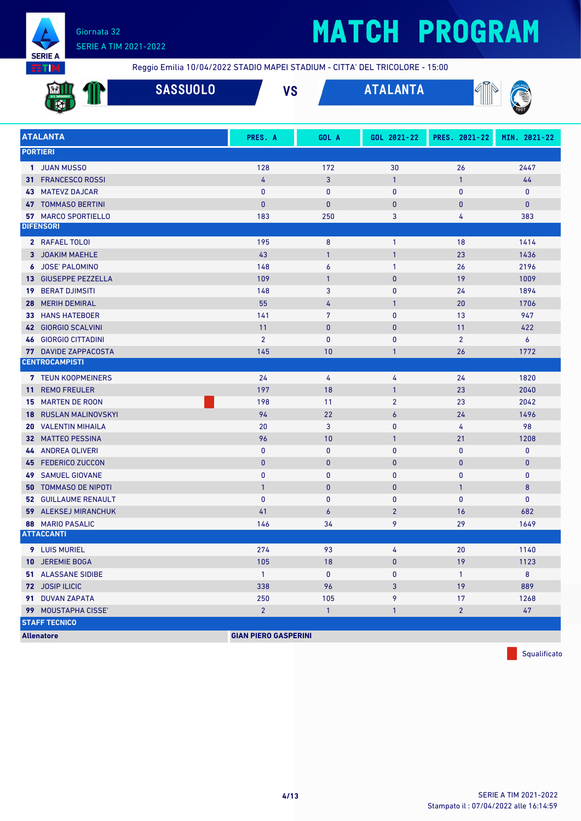

## **MATCH PROGRAM**

Reggio Emilia 10/04/2022 STADIO MAPEI STADIUM - CITTA' DEL TRICOLORE - 15:00

|    |                             | <b>SASSUOLO</b> | <b>VS</b>                   |                  | <b>ATALANTA</b> | ∥              |                  |
|----|-----------------------------|-----------------|-----------------------------|------------------|-----------------|----------------|------------------|
|    | <b>ATALANTA</b>             |                 | PRES. A                     | GOL A            | GOL 2021-22     | PRES. 2021-22  | MIN. 2021-22     |
|    | <b>PORTIERI</b>             |                 |                             |                  |                 |                |                  |
|    | 1 JUAN MUSSO                |                 | 128                         | 172              | 30              | 26             | 2447             |
|    | 31 FRANCESCO ROSSI          |                 | 4                           | 3                | $\mathbf{1}$    | $\mathbf{1}$   | 44               |
| 43 | <b>MATEVZ DAJCAR</b>        |                 | $\mathbf{0}$                | 0                | $\mathbf{0}$    | 0              | $\mathbf 0$      |
| 47 | <b>TOMMASO BERTINI</b>      |                 | $\mathbf{0}$                | $\bf{0}$         | $\mathbf{0}$    | $\bf{0}$       | $\mathbf{0}$     |
|    | 57 MARCO SPORTIELLO         |                 | 183                         | 250              | 3               | 4              | 383              |
|    | <b>DIFENSORI</b>            |                 |                             |                  |                 |                |                  |
|    | 2 RAFAEL TOLOI              |                 | 195                         | 8                | $\mathbf{1}$    | 18             | 1414             |
|    | 3 JOAKIM MAEHLE             |                 | 43                          | $\mathbf{1}$     | $\mathbf{1}$    | 23             | 1436             |
|    | 6 JOSE' PALOMINO            |                 | 148                         | 6                | $\mathbf{1}$    | 26             | 2196             |
| 13 | <b>GIUSEPPE PEZZELLA</b>    |                 | 109                         | $\mathbf{1}$     | $\mathbf{0}$    | 19             | 1009             |
| 19 | <b>BERAT DJIMSITI</b>       |                 | 148                         | 3                | $\mathbf{0}$    | 24             | 1894             |
| 28 | <b>MERIH DEMIRAL</b>        |                 | 55                          | 4                | $\mathbf{1}$    | 20             | 1706             |
| 33 | <b>HANS HATEBOER</b>        |                 | 141                         | 7                | $\mathbf{0}$    | 13             | 947              |
|    | 42 GIORGIO SCALVINI         |                 | 11                          | $\bf{0}$         | $\mathbf{0}$    | 11             | 422              |
|    | <b>46 GIORGIO CITTADINI</b> |                 | $\overline{2}$              | 0                | $\mathbf{0}$    | $\overline{2}$ | $\boldsymbol{6}$ |
|    | <b>77 DAVIDE ZAPPACOSTA</b> |                 | 145                         | 10               | $\mathbf{1}$    | 26             | 1772             |
|    | <b>CENTROCAMPISTI</b>       |                 |                             |                  |                 |                |                  |
|    | <b>7 TEUN KOOPMEINERS</b>   |                 | 24                          | 4                | 4               | 24             | 1820             |
| 11 | <b>REMO FREULER</b>         |                 | 197                         | 18               | $\mathbf{1}$    | 23             | 2040             |
| 15 | <b>MARTEN DE ROON</b>       |                 | 198                         | 11               | $\overline{2}$  | 23             | 2042             |
| 18 | <b>RUSLAN MALINOVSKYI</b>   |                 | 94                          | 22               | $\overline{6}$  | 24             | 1496             |
| 20 | <b>VALENTIN MIHAILA</b>     |                 | 20                          | 3                | $\mathbf{0}$    | 4              | 98               |
|    | 32 MATTEO PESSINA           |                 | 96                          | 10               | $\mathbf{1}$    | 21             | 1208             |
| 44 | <b>ANDREA OLIVERI</b>       |                 | 0                           | 0                | $\mathbf{0}$    | 0              | $\mathbf 0$      |
| 45 | <b>FEDERICO ZUCCON</b>      |                 | $\bf{0}$                    | $\pmb{0}$        | $\mathbf{0}$    | $\bf{0}$       | $\pmb{0}$        |
| 49 | <b>SAMUEL GIOVANE</b>       |                 | $\mathbf{0}$                | 0                | $\mathbf{0}$    | 0              | $\pmb{0}$        |
| 50 | <b>TOMMASO DE NIPOTI</b>    |                 | $\mathbf{1}$                | $\bf{0}$         | $\bf{0}$        | $\mathbf{1}$   | 8                |
|    | <b>52 GUILLAUME RENAULT</b> |                 | $\mathbf{0}$                | $\mathbf{0}$     | $\mathbf{0}$    | $\mathbf{0}$   | $\pmb{0}$        |
|    | <b>59 ALEKSEJ MIRANCHUK</b> |                 | 41                          | $\boldsymbol{6}$ | $\overline{2}$  | 16             | 682              |
|    | 88 MARIO PASALIC            |                 | 146                         | 34               | 9               | 29             | 1649             |
|    | <b>ATTACCANTI</b>           |                 |                             |                  |                 |                |                  |
|    | 9 LUIS MURIEL               |                 | 274                         | 93               | 4               | 20             | 1140             |
|    | 10 JEREMIE BOGA             |                 | 105                         | 18               | $\mathbf{0}$    | 19             | 1123             |
|    | 51 ALASSANE SIDIBE          |                 | $\overline{1}$              | $\mathbf 0$      | $\mathbf 0$     | $\mathbf{1}$   | 8                |
|    | 72 JOSIP ILICIC             |                 | 338                         | 96               | 3               | 19             | 889              |
|    | 91 DUVAN ZAPATA             |                 | 250                         | 105              | 9               | 17             | 1268             |
|    | 99 MOUSTAPHA CISSE'         |                 | $\overline{2}$              | $\mathbf{1}$     | $\mathbf{1}$    | $\overline{2}$ | 47               |
|    | <b>STAFF TECNICO</b>        |                 |                             |                  |                 |                |                  |
|    | <b>Allenatore</b>           |                 | <b>GIAN PIERO GASPERINI</b> |                  |                 |                |                  |

Squalificato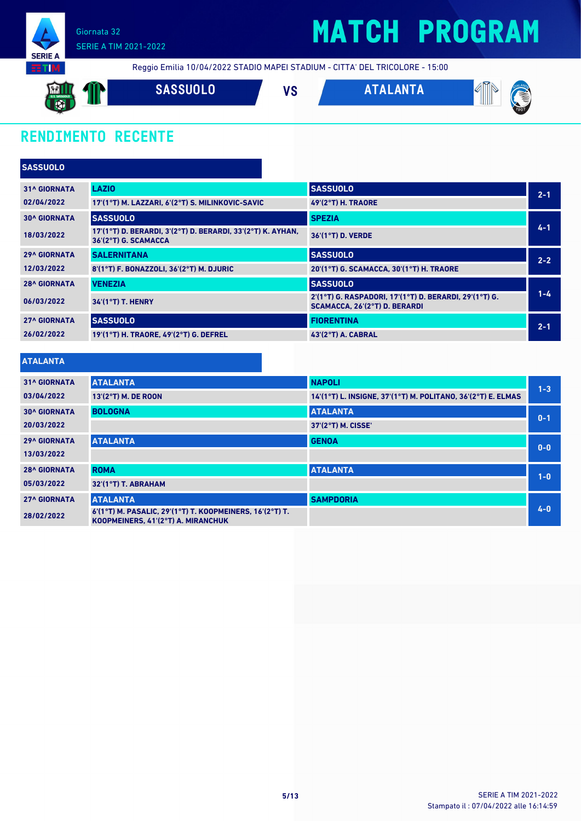

## **MATCH PROGRAM**

Reggio Emilia 10/04/2022 STADIO MAPEI STADIUM - CITTA' DEL TRICOLORE - 15:00

**SASSUOLO VS ATALANTA** 

### **RENDIMENTO RECENTE**

| <b>SASSUOLO</b>     |                                                                                     |                                                                                         |         |
|---------------------|-------------------------------------------------------------------------------------|-----------------------------------------------------------------------------------------|---------|
| <b>31^ GIORNATA</b> | <b>LAZIO</b>                                                                        | <b>SASSUOLO</b>                                                                         | $2 - 1$ |
| 02/04/2022          | 17'(1°T) M. LAZZARI. 6'(2°T) S. MILINKOVIC-SAVIC                                    | <b>49'(2°T) H. TRAORE</b>                                                               |         |
| <b>30^ GIORNATA</b> | <b>SASSUOLO</b>                                                                     | <b>SPEZIA</b>                                                                           |         |
| 18/03/2022          | 17'(1°T) D. BERARDI, 3'(2°T) D. BERARDI, 33'(2°T) K. AYHAN,<br>36'(2°T) G. SCAMACCA | 36'(1°T) D. VERDE                                                                       | $4 - 1$ |
| <b>29^ GIORNATA</b> | <b>SALERNITANA</b>                                                                  | <b>SASSUOLO</b>                                                                         | $2 - 2$ |
| 12/03/2022          | 8'(1°T) F. BONAZZOLI, 36'(2°T) M. DJURIC                                            | 20'(1°T) G. SCAMACCA, 30'(1°T) H. TRAORE                                                |         |
| <b>28^ GIORNATA</b> | <b>VENEZIA</b>                                                                      | <b>SASSUOLO</b>                                                                         |         |
| 06/03/2022          | $34'(1°T)$ T. HENRY                                                                 | 2'(1°T) G. RASPADORI, 17'(1°T) D. BERARDI, 29'(1°T) G.<br>SCAMACCA, 26'(2°T) D. BERARDI | $1 - 4$ |
| <b>27^ GIORNATA</b> | <b>SASSUOLO</b>                                                                     | <b>FIORENTINA</b>                                                                       | $2 - 1$ |
| 26/02/2022          | 19'(1°T) H. TRAORE, 49'(2°T) G. DEFREL                                              | <b>43'(2°T) A. CABRAL</b>                                                               |         |

#### **ATALANTA**

| <b>31^ GIORNATA</b> | <b>ATALANTA</b>                                                                                | <b>NAPOLI</b>                                                | $1 - 3$ |
|---------------------|------------------------------------------------------------------------------------------------|--------------------------------------------------------------|---------|
| 03/04/2022          | 13'(2°T) M. DE ROON                                                                            | 14'(1°T) L. INSIGNE, 37'(1°T) M. POLITANO, 36'(2°T) E. ELMAS |         |
| <b>30^ GIORNATA</b> | <b>BOLOGNA</b>                                                                                 | <b>ATALANTA</b>                                              | $0 - 1$ |
| 20/03/2022          |                                                                                                | 37'(2°T) M. CISSE'                                           |         |
| <b>29^ GIORNATA</b> | <b>ATALANTA</b>                                                                                | <b>GENOA</b>                                                 | $0-0$   |
| 13/03/2022          |                                                                                                |                                                              |         |
| <b>28^ GIORNATA</b> | <b>ROMA</b>                                                                                    | <b>ATALANTA</b>                                              | $1 - 0$ |
| 05/03/2022          | 32'(1°T) T. ABRAHAM                                                                            |                                                              |         |
| <b>27^ GIORNATA</b> | <b>ATALANTA</b>                                                                                | <b>SAMPDORIA</b>                                             |         |
| 28/02/2022          | 6'(1°T) M. PASALIC, 29'(1°T) T. KOOPMEINERS, 16'(2°T) T.<br>KOOPMEINERS, 41'(2°T) A. MIRANCHUK |                                                              | $4 - 0$ |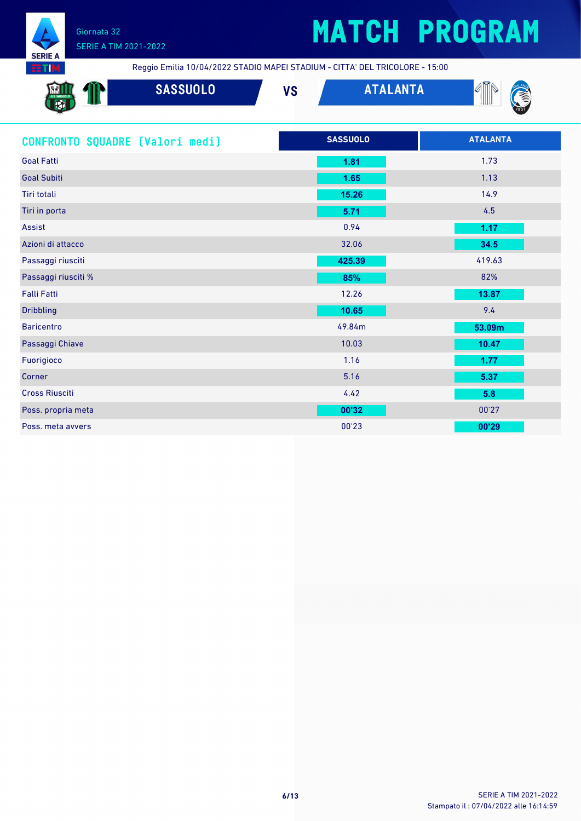

## **MATCH PROGRAM**

Reggio Emilia 10/04/2022 STADIO MAPEI STADIUM - CITTA' DEL TRICOLORE - 15:00

| <b>External</b><br>U.S. SASSUOLO<br>$\sqrt{2}$<br>$\mathbb{R}$ $\mathbb{Z}$ | <b>SASSUOLO</b> | 11 M<br>V J | <b>ANTA</b><br>I I A | ∩ਯ<br>.MV<br>`ŠI<br>W<br>and the contract of the contract of |
|-----------------------------------------------------------------------------|-----------------|-------------|----------------------|--------------------------------------------------------------|
| w<br><b>TANK</b>                                                            |                 |             |                      | 1901                                                         |

| CONFRONTO SQUADRE [Valori medi] | <b>SASSUOLO</b> | <b>ATALANTA</b> |
|---------------------------------|-----------------|-----------------|
| <b>Goal Fatti</b>               | 1.81            | 1.73            |
| <b>Goal Subiti</b>              | 1.65            | 1.13            |
| Tiri totali                     | 15.26           | 14.9            |
| Tiri in porta                   | 5.71            | 4.5             |
| Assist                          | 0.94            | 1.17            |
| Azioni di attacco               | 32.06           | 34.5            |
| Passaggi riusciti               | 425.39          | 419.63          |
| Passaggi riusciti %             | 85%             | 82%             |
| <b>Falli Fatti</b>              | 12.26           | 13.87           |
| <b>Dribbling</b>                | 10.65           | 9.4             |
| <b>Baricentro</b>               | 49.84m          | 53.09m          |
| Passaggi Chiave                 | 10.03           | 10.47           |
| Fuorigioco                      | 1.16            | 1.77            |
| Corner                          | 5.16            | 5.37            |
| <b>Cross Riusciti</b>           | 4.42            | 5.8             |
| Poss. propria meta              | 00'32           | 00'27           |
| Poss, meta avvers               | 00'23           | 00'29           |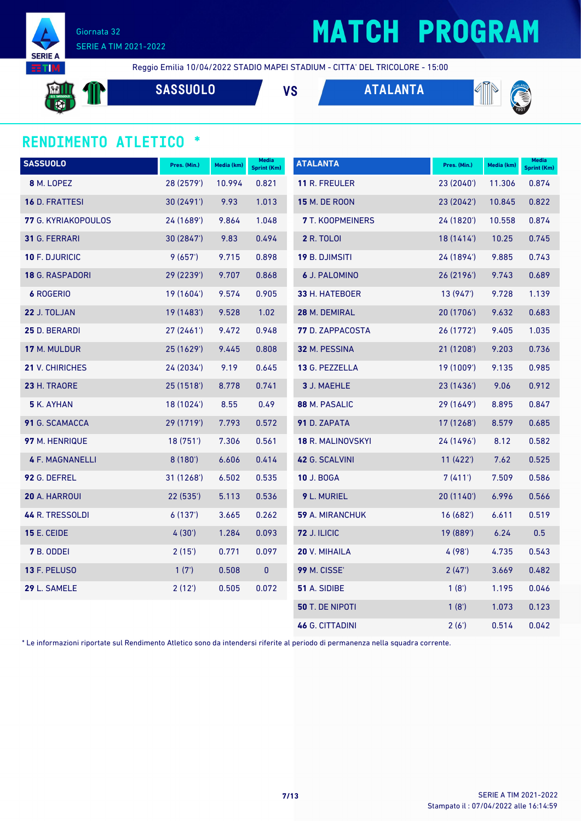

## **MATCH PROGRAM**

Reggio Emilia 10/04/2022 STADIO MAPEI STADIUM - CITTA' DEL TRICOLORE - 15:00

**SASSUOLO VS ATALANTA**



#### **RENDIMENTO ATLETICO \***

| <b>SASSUOLO</b>        | Pres. (Min.) | Media (km) | <b>Media</b><br><b>Sprint (Km)</b> | <b>ATALANTA</b>         | Pres. (Min.) | Media (km) | <b>Media</b><br><b>Sprint (Km)</b> |
|------------------------|--------------|------------|------------------------------------|-------------------------|--------------|------------|------------------------------------|
| 8 M. LOPEZ             | 28 (2579')   | 10.994     | 0.821                              | <b>11 R. FREULER</b>    | 23 (2040')   | 11.306     | 0.874                              |
| 16 D. FRATTESI         | 30 (2491')   | 9.93       | 1.013                              | <b>15 M. DE ROON</b>    | 23 (2042')   | 10.845     | 0.822                              |
| 77 G. KYRIAKOPOULOS    | 24 (1689')   | 9.864      | 1.048                              | 7 T. KOOPMEINERS        | 24 (1820')   | 10.558     | 0.874                              |
| <b>31 G. FERRARI</b>   | 30 (2847')   | 9.83       | 0.494                              | <b>2 R. TOLOI</b>       | 18(1414)     | 10.25      | 0.745                              |
| 10 F. DJURICIC         | 9(657)       | 9.715      | 0.898                              | <b>19 B. DJIMSITI</b>   | 24 (1894')   | 9.885      | 0.743                              |
| 18 G. RASPADORI        | 29 (2239')   | 9.707      | 0.868                              | <b>6 J. PALOMINO</b>    | 26 (2196')   | 9.743      | 0.689                              |
| 6 ROGERIO              | 19 (1604')   | 9.574      | 0.905                              | 33 H. HATEBOER          | 13 (947')    | 9.728      | 1.139                              |
| 22 J. TOLJAN           | 19 (1483')   | 9.528      | 1.02                               | 28 M. DEMIRAL           | 20 (1706')   | 9.632      | 0.683                              |
| 25 D. BERARDI          | 27(2461)     | 9.472      | 0.948                              | <b>77</b> D. ZAPPACOSTA | 26 (1772')   | 9.405      | 1.035                              |
| 17 M. MULDUR           | 25 (1629')   | 9.445      | 0.808                              | 32 M. PESSINA           | 21 (1208')   | 9.203      | 0.736                              |
| 21 V. CHIRICHES        | 24 (2034')   | 9.19       | 0.645                              | 13 G. PEZZELLA          | 19 (1009')   | 9.135      | 0.985                              |
| 23 H. TRAORE           | 25 (1518')   | 8.778      | 0.741                              | 3 J. MAEHLE             | 23(1436)     | 9.06       | 0.912                              |
| 5 K. AYHAN             | 18 (1024')   | 8.55       | 0.49                               | 88 M. PASALIC           | 29 (1649')   | 8.895      | 0.847                              |
| 91 G. SCAMACCA         | 29 (1719')   | 7.793      | 0.572                              | 91 D. ZAPATA            | 17 (1268')   | 8.579      | 0.685                              |
| 97 M. HENRIQUE         | 18(751)      | 7.306      | 0.561                              | 18 R. MALINOVSKYI       | 24 (1496')   | 8.12       | 0.582                              |
| <b>4 F. MAGNANELLI</b> | 8(180)       | 6.606      | 0.414                              | 42 G. SCALVINI          | 11(422)      | 7.62       | 0.525                              |
| 92 G. DEFREL           | 31 (1268')   | 6.502      | 0.535                              | <b>10 J. BOGA</b>       | 7 (411')     | 7.509      | 0.586                              |
| 20 A. HARROUI          | 22(535)      | 5.113      | 0.536                              | 9 L. MURIEL             | 20 (1140')   | 6.996      | 0.566                              |
| 44 R. TRESSOLDI        | 6(137)       | 3.665      | 0.262                              | 59 A. MIRANCHUK         | 16(682)      | 6.611      | 0.519                              |
| <b>15 E. CEIDE</b>     | 4(30)        | 1.284      | 0.093                              | <b>72 J. ILICIC</b>     | 19 (889')    | 6.24       | 0.5                                |
| 7 B. ODDEI             | 2(15)        | 0.771      | 0.097                              | 20 V. MIHAILA           | 4 (98')      | 4.735      | 0.543                              |
| 13 F. PELUSO           | 1(7)         | 0.508      | $\pmb{0}$                          | <b>99 M. CISSE'</b>     | 2(47)        | 3.669      | 0.482                              |
| 29 L. SAMELE           | 2(12')       | 0.505      | 0.072                              | 51 A. SIDIBE            | 1(8')        | 1.195      | 0.046                              |
|                        |              |            |                                    | <b>50 T. DE NIPOTI</b>  | 1(8')        | 1.073      | 0.123                              |
|                        |              |            |                                    | <b>46 G. CITTADINI</b>  | 2(6')        | 0.514      | 0.042                              |

\* Le informazioni riportate sul Rendimento Atletico sono da intendersi riferite al periodo di permanenza nella squadra corrente.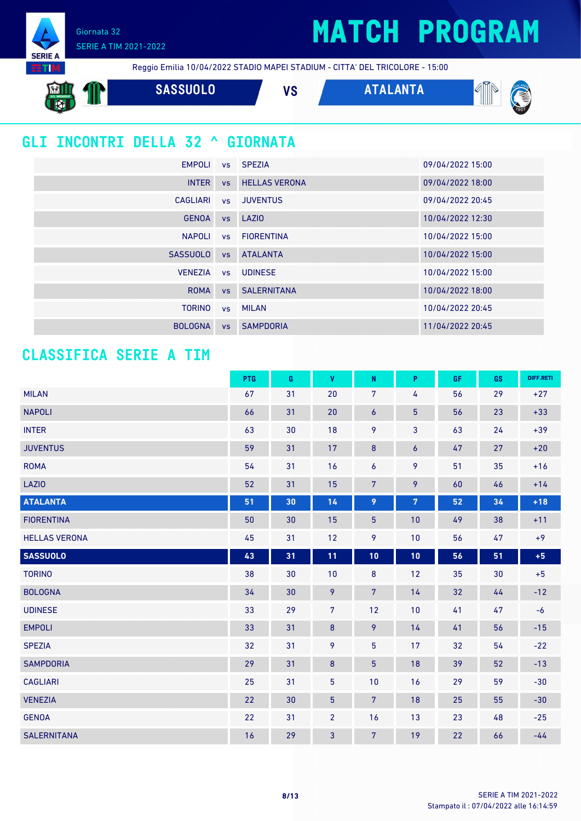### **MATCH PROGRAM**

Giornata 32 SERIE A TIM 2021-2022

**SERIE** 

Reggio Emilia 10/04/2022 STADIO MAPEI STADIUM - CITTA' DEL TRICOLORE - 15:00

**SASSUOLO VS ATALANTA** 

### **GLI INCONTRI DELLA 32 ^ GIORNATA**

| EMPOLI          |           | vs SPEZIA               | 09/04/2022 15:00 |
|-----------------|-----------|-------------------------|------------------|
| <b>INTER</b>    |           | <b>vs</b> HELLAS VERONA | 09/04/2022 18:00 |
| CAGLIARI        |           | vs JUVENTUS             | 09/04/2022 20:45 |
| <b>GENOA</b>    |           | vs LAZIO                | 10/04/2022 12:30 |
| <b>NAPOLI</b>   |           | vs FIORENTINA           | 10/04/2022 15:00 |
| <b>SASSUOLO</b> | VS        | <b>ATALANTA</b>         | 10/04/2022 15:00 |
| <b>VENEZIA</b>  |           | vs UDINESE              | 10/04/2022 15:00 |
| <b>ROMA</b>     |           | <b>vs</b> SALERNITANA   | 10/04/2022 18:00 |
| <b>TORINO</b>   |           | vs MILAN                | 10/04/2022 20:45 |
| <b>BOLOGNA</b>  | <b>VS</b> | <b>SAMPDORIA</b>        | 11/04/2022 20:45 |

### **CLASSIFICA SERIE A TIM**

|                      | PTG | G  | $\mathbf{V}$    | ${\sf N}$       | P                | <b>GF</b> | GS | DIFF.RETI |
|----------------------|-----|----|-----------------|-----------------|------------------|-----------|----|-----------|
| <b>MILAN</b>         | 67  | 31 | 20              | $\overline{7}$  | 4                | 56        | 29 | $+27$     |
| <b>NAPOLI</b>        | 66  | 31 | 20              | 6               | $\overline{5}$   | 56        | 23 | $+33$     |
| <b>INTER</b>         | 63  | 30 | 18              | 9               | 3                | 63        | 24 | $+39$     |
| <b>JUVENTUS</b>      | 59  | 31 | 17              | 8               | $\boldsymbol{6}$ | 47        | 27 | $+20$     |
| <b>ROMA</b>          | 54  | 31 | 16              | $\overline{6}$  | 9                | 51        | 35 | $+16$     |
| LAZIO                | 52  | 31 | 15              | $\overline{7}$  | 9                | 60        | 46 | $+14$     |
| <b>ATALANTA</b>      | 51  | 30 | 14              | 9               | 7                | 52        | 34 | $+18$     |
| <b>FIORENTINA</b>    | 50  | 30 | 15              | $\overline{5}$  | 10               | 49        | 38 | $+11$     |
| <b>HELLAS VERONA</b> | 45  | 31 | 12              | 9               | 10               | 56        | 47 | $+9$      |
| <b>SASSUOLO</b>      | 43  | 31 | 11              | 10              | 10               | 56        | 51 | $+5$      |
| <b>TORINO</b>        | 38  | 30 | 10              | $\bf 8$         | 12               | 35        | 30 | $+5$      |
| <b>BOLOGNA</b>       | 34  | 30 | 9               | 7 <sup>5</sup>  | 14               | 32        | 44 | $-12$     |
| <b>UDINESE</b>       | 33  | 29 | $\overline{7}$  | 12              | 10               | 41        | 47 | $-6$      |
| <b>EMPOLI</b>        | 33  | 31 | 8               | 9               | 14               | 41        | 56 | $-15$     |
| <b>SPEZIA</b>        | 32  | 31 | 9               | $\overline{5}$  | 17               | 32        | 54 | $-22$     |
| <b>SAMPDORIA</b>     | 29  | 31 | $\bf 8$         | $5\phantom{.0}$ | 18               | 39        | 52 | $-13$     |
| <b>CAGLIARI</b>      | 25  | 31 | $\overline{5}$  | 10              | 16               | 29        | 59 | $-30$     |
| <b>VENEZIA</b>       | 22  | 30 | $5\phantom{.0}$ | $\overline{7}$  | 18               | 25        | 55 | $-30$     |
| <b>GENOA</b>         | 22  | 31 | $\overline{2}$  | 16              | 13               | 23        | 48 | $-25$     |
| <b>SALERNITANA</b>   | 16  | 29 | 3               | 7 <sup>5</sup>  | 19               | 22        | 66 | $-44$     |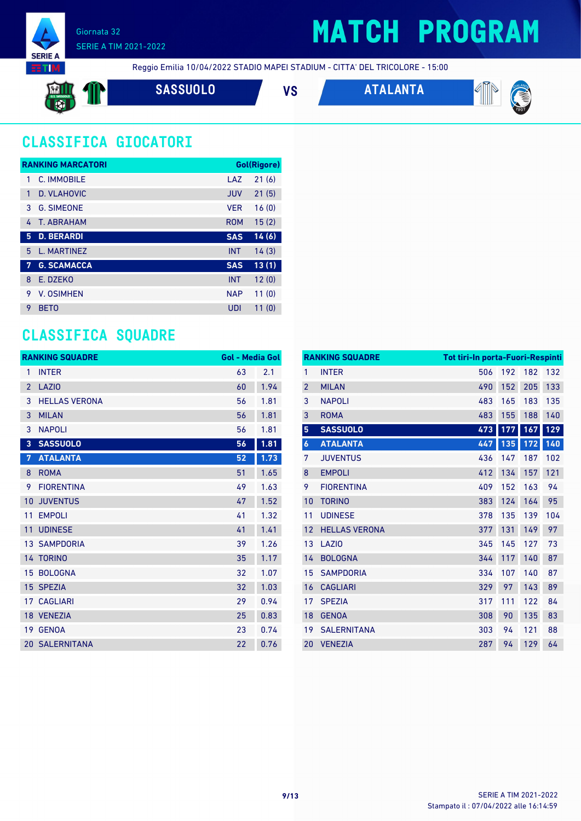

## **MATCH PROGRAM**

Reggio Emilia 10/04/2022 STADIO MAPEI STADIUM - CITTA' DEL TRICOLORE - 15:00

**SASSUOLO VS ATALANTA**



### **CLASSIFICA GIOCATORI**

|           | <b>RANKING MARCATORI</b> |            | <b>Gol(Rigore)</b> |
|-----------|--------------------------|------------|--------------------|
| 1         | C. IMMOBILE              | LAZ        | 21(6)              |
| 1         | D. VLAHOVIC              | <b>JUV</b> | 21(5)              |
| 3         | <b>G. SIMEONE</b>        | <b>VER</b> | 16(0)              |
| 4         | <b>T. ABRAHAM</b>        | <b>ROM</b> | 15(2)              |
| 5         | <b>D. BERARDI</b>        | <b>SAS</b> | 14(6)              |
| 5         | <b>L. MARTINEZ</b>       | <b>INT</b> | 14(3)              |
| <b>AV</b> | <b>G. SCAMACCA</b>       | <b>SAS</b> | 13(1)              |
| 8         | E. DZEKO                 | <b>INT</b> | 12(0)              |
| 9         | V. OSIMHEN               | <b>NAP</b> | 11(0)              |
| 9         | <b>BETO</b>              | UDI        | 11(0)              |

### **CLASSIFICA SQUADRE**

|                 | <b>RANKING SQUADRE</b> | <b>Gol - Media Gol</b> |      |
|-----------------|------------------------|------------------------|------|
| 1               | <b>INTER</b>           | 63                     | 2.1  |
| $\overline{2}$  | <b>LAZIO</b>           | 60                     | 1.94 |
| 3               | <b>HELLAS VERONA</b>   | 56                     | 1.81 |
| 3               | <b>MILAN</b>           | 56                     | 1.81 |
| 3               | <b>NAPOLI</b>          | 56                     | 1.81 |
| 3               | <b>SASSUOLO</b>        | 56                     | 1.81 |
| 7               | <b>ATALANTA</b>        | 52                     | 1.73 |
| 8               | <b>ROMA</b>            | 51                     | 1.65 |
| 9               | <b>FIORENTINA</b>      | 49                     | 1.63 |
| 10              | <b>JUVENTUS</b>        | 47                     | 1.52 |
| 11              | <b>EMPOLI</b>          | 41                     | 1.32 |
| 11              | <b>UDINESE</b>         | 41                     | 1.41 |
|                 | <b>13 SAMPDORIA</b>    | 39                     | 1.26 |
|                 | <b>14 TORINO</b>       | 35                     | 1.17 |
| 15 <sup>1</sup> | <b>BOLOGNA</b>         | 32                     | 1.07 |
|                 | 15 SPEZIA              | 32                     | 1.03 |
|                 | <b>17 CAGLIARI</b>     | 29                     | 0.94 |
|                 | 18 VENEZIA             | 25                     | 0.83 |
| 19              | <b>GENOA</b>           | 23                     | 0.74 |
|                 | <b>20 SALERNITANA</b>  | 22                     | 0.76 |

|                  | <b>RANKING SQUADRE</b> | Tot tiri-In porta-Fuori-Respinti |     |     |     |
|------------------|------------------------|----------------------------------|-----|-----|-----|
| 1                | <b>INTER</b>           | 506                              | 192 | 182 | 132 |
| $\overline{2}$   | <b>MILAN</b>           | 490                              | 152 | 205 | 133 |
| 3                | <b>NAPOLI</b>          | 483                              | 165 | 183 | 135 |
| 3                | <b>ROMA</b>            | 483                              | 155 | 188 | 140 |
| 5                | <b>SASSUOLO</b>        | 473                              | 177 | 167 | 129 |
| $\boldsymbol{6}$ | <b>ATALANTA</b>        | 447                              | 135 | 172 | 140 |
| 7                | <b>JUVENTUS</b>        | 436                              | 147 | 187 | 102 |
| 8                | <b>EMPOLI</b>          | 412                              | 134 | 157 | 121 |
| 9                | <b>FIORENTINA</b>      | 409                              | 152 | 163 | 94  |
| 10               | <b>TORINO</b>          | 383                              | 124 | 164 | 95  |
| 11               | <b>UDINESE</b>         | 378                              | 135 | 139 | 104 |
| 12               | <b>HELLAS VERONA</b>   | 377                              | 131 | 149 | 97  |
| 13               | LAZI <sub>0</sub>      | 345                              | 145 | 127 | 73  |
| 14               | <b>BOLOGNA</b>         | 344                              | 117 | 140 | 87  |
| 15               | <b>SAMPDORIA</b>       | 334                              | 107 | 140 | 87  |
| 16               | <b>CAGLIARI</b>        | 329                              | 97  | 143 | 89  |
| 17               | <b>SPEZIA</b>          | 317                              | 111 | 122 | 84  |
| 18               | <b>GENOA</b>           | 308                              | 90  | 135 | 83  |
| 19               | <b>SALERNITANA</b>     | 303                              | 94  | 121 | 88  |
| 20               | <b>VENEZIA</b>         | 287                              | 94  | 129 | 64  |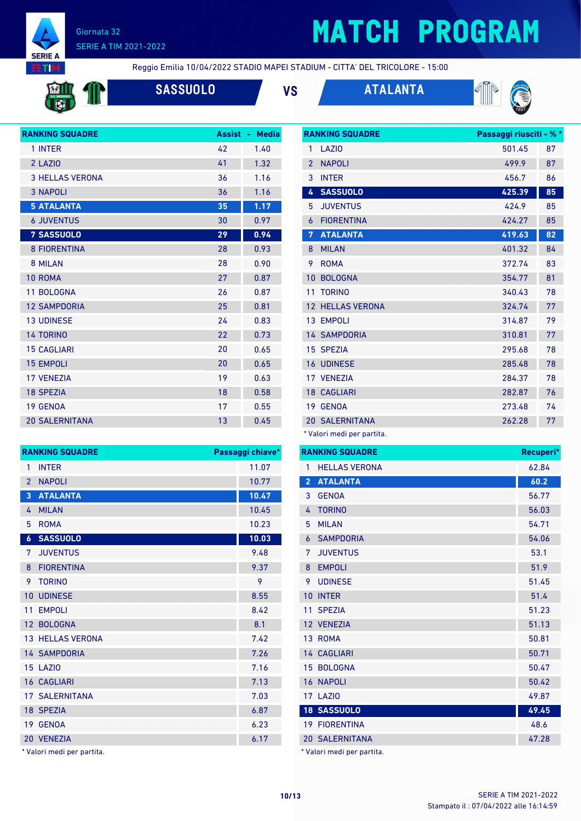

## **MATCH PROGRAM**

**HTM** 

Reggio Emilia 10/04/2022 STADIO MAPEI STADIUM - CITTA' DEL TRICOLORE - 15:00



**SASSUOLO VS ATALANTA**





| <b>RANKING SQUADRE</b> | <b>Assist</b> | <b>Media</b><br>٠ |
|------------------------|---------------|-------------------|
| 1 INTER                | 42            | 1.40              |
| 2 LAZIO                | 41            | 1.32              |
| <b>3 HELLAS VERONA</b> | 36            | 1.16              |
| <b>3 NAPOLI</b>        | 36            | 1.16              |
| <b>5 ATALANTA</b>      | 35            | 1.17              |
| <b>6 JUVENTUS</b>      | 30            | 0.97              |
| <b>7 SASSUOLO</b>      | 29            | 0.94              |
| <b>8 FIORENTINA</b>    | 28            | 0.93              |
| 8 MILAN                | 28            | 0.90              |
| 10 ROMA                | 27            | 0.87              |
| 11 BOLOGNA             | 26            | 0.87              |
| <b>12 SAMPDORIA</b>    | 25            | 0.81              |
| <b>13 UDINESE</b>      | 24            | 0.83              |
| <b>14 TORINO</b>       | 22            | 0.73              |
| <b>15 CAGLIARI</b>     | 20            | 0.65              |
| <b>15 EMPOLI</b>       | 20            | 0.65              |
| <b>17 VENEZIA</b>      | 19            | 0.63              |
| <b>18 SPEZIA</b>       | 18            | 0.58              |
| <b>19 GENOA</b>        | 17            | 0.55              |
| <b>20 SALERNITANA</b>  | 13            | 0.45              |

|                          | <b>RANKING SQUADRE</b>  | Passaggi chiave* |
|--------------------------|-------------------------|------------------|
| 1                        | <b>INTER</b>            | 11.07            |
| $\overline{\phantom{a}}$ | <b>NAPOLI</b>           | 10.77            |
| $\overline{3}$           | <b>ATALANTA</b>         | 10.47            |
| 4                        | <b>MILAN</b>            | 10.45            |
| 5                        | <b>ROMA</b>             | 10.23            |
| $\boldsymbol{6}$         | <b>SASSUOLO</b>         | 10.03            |
| 7                        | <b>JUVENTUS</b>         | 9.48             |
| 8                        | <b>FIORENTINA</b>       | 9.37             |
| 9                        | <b>TORINO</b>           | 9                |
| 10                       | <b>UDINESE</b>          | 8.55             |
| 11                       | <b>EMPOLI</b>           | 8.42             |
| 12                       | <b>BOLOGNA</b>          | 8.1              |
|                          | <b>13 HELLAS VERONA</b> | 7.42             |
|                          | <b>14 SAMPDORIA</b>     | 7.26             |
| 15                       | LAZI <sub>0</sub>       | 7.16             |
|                          | <b>16 CAGLIARI</b>      | 7.13             |
|                          | <b>17 SALERNITANA</b>   | 7.03             |
|                          | 18 SPEZIA               | 6.87             |
| 19                       | <b>GENOA</b>            | 6.23             |
|                          | 20 VENEZIA              | 6.17             |

\* Valori medi per partita.

|                | <b>RANKING SQUADRE</b> | Passaggi riusciti - % * |    |
|----------------|------------------------|-------------------------|----|
| 1              | LAZI <sub>0</sub>      | 501.45                  | 87 |
| $\overline{2}$ | <b>NAPOLI</b>          | 499.9                   | 87 |
| 3              | <b>INTER</b>           | 456.7                   | 86 |
| 4              | <b>SASSUOLO</b>        | 425.39                  | 85 |
| 5              | <b>JUVENTUS</b>        | 424.9                   | 85 |
| 6              | <b>FIORENTINA</b>      | 424.27                  | 85 |
| 7              | <b>ATALANTA</b>        | 419.63                  | 82 |
| 8              | <b>MILAN</b>           | 401.32                  | 84 |
| 9              | <b>ROMA</b>            | 372.74                  | 83 |
| 10             | <b>BOLOGNA</b>         | 354.77                  | 81 |
| 11             | <b>TORINO</b>          | 340.43                  | 78 |
| 12             | <b>HELLAS VERONA</b>   | 324.74                  | 77 |
|                | 13 EMPOLI              | 314.87                  | 79 |
|                | <b>14 SAMPDORIA</b>    | 310.81                  | 77 |
|                | 15 SPEZIA              | 295.68                  | 78 |
|                | <b>16 UDINESE</b>      | 285.48                  | 78 |
|                | 17 VENEZIA             | 284.37                  | 78 |
|                | <b>18 CAGLIARI</b>     | 282.87                  | 76 |
|                | 19 GENOA               | 273.48                  | 74 |
|                | <b>20 SALERNITANA</b>  | 262.28                  | 77 |
|                |                        |                         |    |

Valori medi per partita.

|                | <b>RANKING SQUADRE</b>     | Recuperi* |
|----------------|----------------------------|-----------|
| 1              | <b>HELLAS VERONA</b>       | 62.84     |
| $\overline{2}$ | <b>ATALANTA</b>            | 60.2      |
| 3              | <b>GENOA</b>               | 56.77     |
| 4              | <b>TORINO</b>              | 56.03     |
| 5              | <b>MILAN</b>               | 54.71     |
| 6              | <b>SAMPDORIA</b>           | 54.06     |
| 7              | <b>JUVENTUS</b>            | 53.1      |
| 8              | <b>EMPOLI</b>              | 51.9      |
| 9              | <b>UDINESE</b>             | 51.45     |
| 10             | <b>INTER</b>               | 51.4      |
| 11             | <b>SPEZIA</b>              | 51.23     |
|                | 12 VENEZIA                 | 51.13     |
|                | 13 ROMA                    | 50.81     |
|                | <b>14 CAGLIARI</b>         | 50.71     |
|                | 15 BOLOGNA                 | 50.47     |
|                | <b>16 NAPOLI</b>           | 50.42     |
|                | 17 LAZIO                   | 49.87     |
|                | <b>18 SASSUOLO</b>         | 49.45     |
|                | <b>19 FIORENTINA</b>       | 48.6      |
|                | <b>20 SALERNITANA</b>      | 47.28     |
|                | * Valori medi per partita. |           |

Stampato il : 07/04/2022 alle 16:14:59 **10/13** SERIE A TIM 2021-2022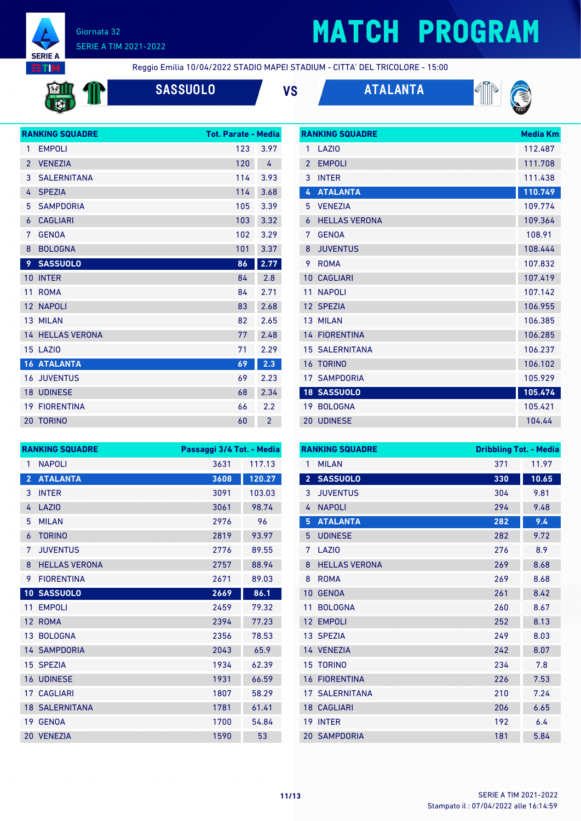

## **MATCH PROGRAM**

**RANKING SQUADRE Media Km** 

**RTIM** 

Reggio Emilia 10/04/2022 STADIO MAPEI STADIUM - CITTA' DEL TRICOLORE - 15:00



**SASSUOLO VS ATALANTA**





|                | <b>RANKING SQUADRE</b>  | <b>Tot. Parate - Media</b> |                |
|----------------|-------------------------|----------------------------|----------------|
| 1              | <b>EMPOLI</b>           | 123                        | 3.97           |
| $\overline{2}$ | <b>VENEZIA</b>          | 120                        | 4              |
| 3              | <b>SALERNITANA</b>      | 114                        | 3.93           |
| 4              | <b>SPEZIA</b>           | 114                        | 3.68           |
| 5              | <b>SAMPDORIA</b>        | 105                        | 3.39           |
| 6              | <b>CAGLIARI</b>         | 103                        | 3.32           |
| 7              | <b>GENOA</b>            | 102                        | 3.29           |
| 8              | <b>BOLOGNA</b>          | 101                        | 3.37           |
| 9              | <b>SASSUOLO</b>         | 86                         | 2.77           |
| 10             | <b>INTER</b>            | 84                         | 2.8            |
| 11             | <b>ROMA</b>             | 84                         | 2.71           |
|                | 12 NAPOLI               | 83                         | 2.68           |
|                | 13 MILAN                | 82                         | 2.65           |
|                | <b>14 HELLAS VERONA</b> | 77                         | 2.48           |
|                | 15 LAZIO                | 71                         | 2.29           |
|                | <b>16 ATALANTA</b>      | 69                         | 2.3            |
|                | <b>16 JUVENTUS</b>      | 69                         | 2.23           |
|                | <b>18 UDINESE</b>       | 68                         | 2.34           |
|                | <b>19 FIORENTINA</b>    | 66                         | 2.2            |
| 20             | <b>TORINO</b>           | 60                         | $\overline{2}$ |
|                |                         |                            |                |

| 1               | <b>LA7IO</b>           | 112.487 |
|-----------------|------------------------|---------|
| $\overline{2}$  | <b>EMPOLI</b>          | 111.708 |
| 3               | <b>INTER</b>           | 111.438 |
| 4               | <b>ATALANTA</b>        | 110.749 |
| 5               | <b>VENEZIA</b>         | 109.774 |
| 6               | <b>HELLAS VERONA</b>   | 109.364 |
| 7               | <b>GENOA</b>           | 108.91  |
| 8               | <b>JUVENTUS</b>        | 108.444 |
| 9               | <b>ROMA</b>            | 107.832 |
| 10              | <b>CAGLIARI</b>        | 107.419 |
| 11              | <b>NAPOLI</b>          | 107.142 |
| 12 <sup>2</sup> | <b>SPEZIA</b>          | 106.955 |
| 13              | <b>MILAN</b>           | 106.385 |
| 14              | <b>FIORENTINA</b>      | 106.285 |
|                 | <b>15 SAI FRNITANA</b> | 106.237 |
| 16              | <b>TORINO</b>          | 106.102 |
| 17 <sup>1</sup> | <b>SAMPDORIA</b>       | 105.929 |
|                 | <b>18 SASSUOLO</b>     | 105.474 |
| 19              | <b>BOLOGNA</b>         | 105.421 |
| 20              | <b>UDINESE</b>         | 104.44  |

|                 | <b>RANKING SQUADRE</b> | Passaggi 3/4 Tot. - Media |        |
|-----------------|------------------------|---------------------------|--------|
| 1               | <b>NAPOLI</b>          | 3631                      | 117.13 |
| $\overline{2}$  | <b>ATALANTA</b>        | 3608                      | 120.27 |
| 3               | <b>INTER</b>           | 3091                      | 103.03 |
| 4               | LAZIO                  | 3061                      | 98.74  |
| 5               | <b>MILAN</b>           | 2976                      | 96     |
| 6               | <b>TORINO</b>          | 2819                      | 93.97  |
| 7               | <b>JUVENTUS</b>        | 2776                      | 89.55  |
| 8               | <b>HELLAS VERONA</b>   | 2757                      | 88.94  |
| 9               | <b>FIORENTINA</b>      | 2671                      | 89.03  |
|                 | 10 SASSUOLO            | 2669                      | 86.1   |
| 11              | <b>EMPOLI</b>          | 2459                      | 79.32  |
| 12 <sup>°</sup> | <b>ROMA</b>            | 2394                      | 77.23  |
| 13              | <b>BOLOGNA</b>         | 2356                      | 78.53  |
|                 | <b>14 SAMPDORIA</b>    | 2043                      | 65.9   |
|                 | 15 SPEZIA              | 1934                      | 62.39  |
|                 | <b>16 UDINESE</b>      | 1931                      | 66.59  |
|                 | <b>17 CAGLIARI</b>     | 1807                      | 58.29  |
|                 | <b>18 SALERNITANA</b>  | 1781                      | 61.41  |
| 19              | <b>GENOA</b>           | 1700                      | 54.84  |
|                 | 20 VENEZIA             | 1590                      | 53     |

| <b>RANKING SQUADRE</b> |                       | <b>Dribbling Tot. - Media</b> |       |
|------------------------|-----------------------|-------------------------------|-------|
| 1                      | <b>MILAN</b>          | 371                           | 11.97 |
| $\overline{2}$         | <b>SASSUOLO</b>       | 330                           | 10.65 |
| 3                      | <b>JUVENTUS</b>       | 304                           | 9.81  |
| 4                      | <b>NAPOLI</b>         | 294                           | 9.48  |
| 5                      | <b>ATALANTA</b>       | 282                           | 9.4   |
| 5                      | <b>UDINESE</b>        | 282                           | 9.72  |
| 7                      | LAZI <sub>0</sub>     | 276                           | 8.9   |
| 8                      | <b>HELLAS VERONA</b>  | 269                           | 8.68  |
| 8                      | <b>ROMA</b>           | 269                           | 8.68  |
| 10                     | <b>GENOA</b>          | 261                           | 8.42  |
| 11                     | <b>BOLOGNA</b>        | 260                           | 8.67  |
| 12                     | <b>EMPOLI</b>         | 252                           | 8.13  |
|                        | 13 SPEZIA             | 249                           | 8.03  |
|                        | 14 VENEZIA            | 242                           | 8.07  |
| 15                     | <b>TORINO</b>         | 234                           | 7.8   |
| 16                     | <b>FIORENTINA</b>     | 226                           | 7.53  |
|                        | <b>17 SALERNITANA</b> | 210                           | 7.24  |
|                        | <b>18 CAGLIARI</b>    | 206                           | 6.65  |
| 19                     | <b>INTER</b>          | 192                           | 6.4   |
|                        | <b>20 SAMPDORIA</b>   | 181                           | 5.84  |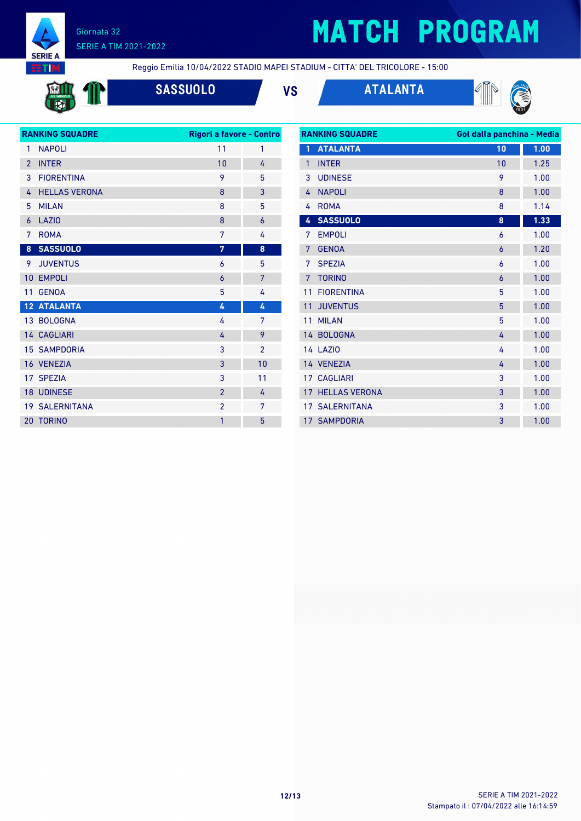

## **MATCH PROGRAM**

**EETIM** 

**Fri** 

Reggio Emilia 10/04/2022 STADIO MAPEI STADIUM - CITTA' DEL TRICOLORE - 15:00



**SASSUOLO VS ATALANTA**





| <b>RANKING SQUADRE</b> |                       | Rigori a favore - Contro |                |  |
|------------------------|-----------------------|--------------------------|----------------|--|
| 1                      | <b>NAPOLI</b>         | 11                       | 1              |  |
| $\overline{2}$         | <b>INTER</b>          | 10                       | 4              |  |
| 3                      | <b>FIORENTINA</b>     | 9                        | 5              |  |
| 4                      | <b>HELLAS VERONA</b>  | 8                        | 3              |  |
| 5                      | <b>MILAN</b>          | 8                        | 5              |  |
| 6                      | <b>LAZIO</b>          | 8                        | 6              |  |
| 7                      | <b>ROMA</b>           | 7                        | 4              |  |
| 8                      | <b>SASSUOLO</b>       | 7                        | 8              |  |
| 9                      | <b>JUVENTUS</b>       | 6                        | 5              |  |
| 10                     | <b>EMPOLI</b>         | 6                        | 7              |  |
| 11                     | <b>GENOA</b>          | 5                        | 4              |  |
|                        | <b>12 ATALANTA</b>    | 4                        | 4              |  |
|                        | 13 BOLOGNA            | 4                        | 7              |  |
|                        | <b>14 CAGLIARI</b>    | 4                        | 9              |  |
|                        | <b>15 SAMPDORIA</b>   | 3                        | $\overline{2}$ |  |
|                        | 16 VENEZIA            | 3                        | 10             |  |
|                        | 17 SPEZIA             | 3                        | 11             |  |
|                        | <b>18 UDINESE</b>     | $\overline{2}$           | 4              |  |
|                        | <b>19 SALERNITANA</b> | $\overline{2}$           | 7              |  |
| 20                     | <b>TORINO</b>         | 1                        | 5              |  |
|                        |                       |                          |                |  |

| <b>RANKING SQUADRE</b> |                       | Gol dalla panchina - Media |      |
|------------------------|-----------------------|----------------------------|------|
| $\mathbf{1}$           | <b>ATALANTA</b>       | 10                         | 1.00 |
| 1                      | <b>INTER</b>          | 10                         | 1.25 |
| 3                      | <b>UDINESE</b>        | 9                          | 1.00 |
| $\overline{4}$         | <b>NAPOLI</b>         | 8                          | 1.00 |
| 4                      | <b>ROMA</b>           | 8                          | 1.14 |
| 4                      | <b>SASSUOLO</b>       | 8                          | 1.33 |
| 7                      | <b>EMPOLI</b>         | 6                          | 1.00 |
| 7                      | <b>GENOA</b>          | 6                          | 1.20 |
| 7                      | <b>SPEZIA</b>         | 6                          | 1.00 |
| 7                      | <b>TORINO</b>         | 6                          | 1.00 |
| 11                     | <b>FIORENTINA</b>     | 5                          | 1.00 |
| 11                     | <b>JUVENTUS</b>       | 5                          | 1.00 |
| 11                     | <b>MILAN</b>          | 5                          | 1.00 |
|                        | 14 BOLOGNA            | 4                          | 1.00 |
|                        | <b>14 LAZIO</b>       | 4                          | 1.00 |
|                        | 14 VENEZIA            | 4                          | 1.00 |
| 17 <sup>1</sup>        | <b>CAGLIARI</b>       | 3                          | 1.00 |
| 17                     | <b>HELLAS VERONA</b>  | 3                          | 1.00 |
|                        | <b>17 SALERNITANA</b> | 3                          | 1.00 |
|                        | <b>17 SAMPDORIA</b>   | 3                          | 1.00 |